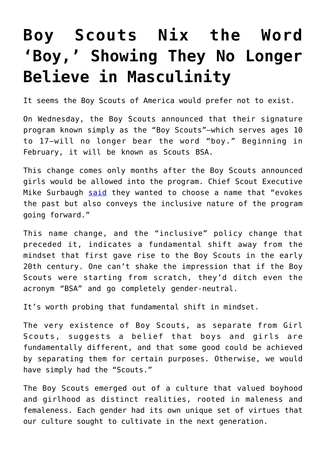## **[Boy Scouts Nix the Word](https://intellectualtakeout.org/2018/05/boy-scouts-nix-the-word-boy-showing-they-no-longer-believe-in-masculinity/) ['Boy,' Showing They No Longer](https://intellectualtakeout.org/2018/05/boy-scouts-nix-the-word-boy-showing-they-no-longer-believe-in-masculinity/) [Believe in Masculinity](https://intellectualtakeout.org/2018/05/boy-scouts-nix-the-word-boy-showing-they-no-longer-believe-in-masculinity/)**

It seems the Boy Scouts of America would prefer not to exist.

On Wednesday, the Boy Scouts announced that their signature program known simply as the "Boy Scouts"—which serves ages 10 to 17—will no longer bear the word "boy." Beginning in February, it will be known as Scouts BSA.

This change comes only months after the Boy Scouts announced girls would be allowed into the program. Chief Scout Executive Mike Surbaugh [said](https://www.nbcnews.com/news/us-news/boy-scouts-announce-name-change-girls-join-ranks-n870696) they wanted to choose a name that "evokes the past but also conveys the inclusive nature of the program going forward."

This name change, and the "inclusive" policy change that preceded it, indicates a fundamental shift away from the mindset that first gave rise to the Boy Scouts in the early 20th century. One can't shake the impression that if the Boy Scouts were starting from scratch, they'd ditch even the acronym "BSA" and go completely gender-neutral.

It's worth probing that fundamental shift in mindset.

The very existence of Boy Scouts, as separate from Girl Scouts, suggests a belief that boys and girls are fundamentally different, and that some good could be achieved by separating them for certain purposes. Otherwise, we would have simply had the "Scouts."

The Boy Scouts emerged out of a culture that valued boyhood and girlhood as distinct realities, rooted in maleness and femaleness. Each gender had its own unique set of virtues that our culture sought to cultivate in the next generation.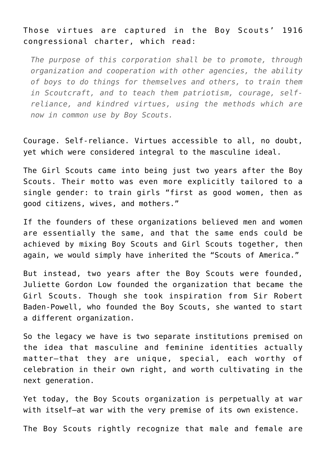## Those virtues are captured in the Boy Scouts' 1916 congressional charter, which read:

*The purpose of this corporation shall be to promote, through organization and cooperation with other agencies, the ability of boys to do things for themselves and others, to train them in Scoutcraft, and to teach them patriotism, courage, selfreliance, and kindred virtues, using the methods which are now in common use by Boy Scouts.*

Courage. Self-reliance. Virtues accessible to all, no doubt, yet which were considered integral to the masculine ideal.

The Girl Scouts came into being just two years after the Boy Scouts. Their motto was even more explicitly tailored to a single gender: to train girls "first as good women, then as good citizens, wives, and mothers."

If the founders of these organizations believed men and women are essentially the same, and that the same ends could be achieved by mixing Boy Scouts and Girl Scouts together, then again, we would simply have inherited the "Scouts of America."

But instead, two years after the Boy Scouts were founded, Juliette Gordon Low founded the organization that became the Girl Scouts. Though she took inspiration from Sir Robert Baden-Powell, who founded the Boy Scouts, she wanted to start a different organization.

So the legacy we have is two separate institutions premised on the idea that masculine and feminine identities actually matter—that they are unique, special, each worthy of celebration in their own right, and worth cultivating in the next generation.

Yet today, the Boy Scouts organization is perpetually at war with itself—at war with the very premise of its own existence.

The Boy Scouts rightly recognize that male and female are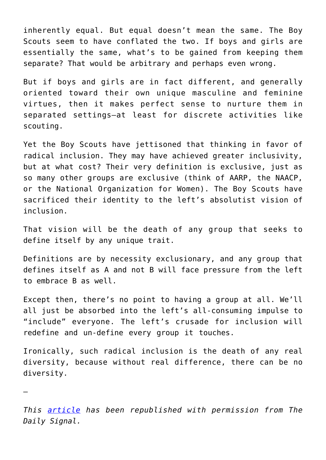inherently equal. But equal doesn't mean the same. The Boy Scouts seem to have conflated the two. If boys and girls are essentially the same, what's to be gained from keeping them separate? That would be arbitrary and perhaps even wrong.

But if boys and girls are in fact different, and generally oriented toward their own unique masculine and feminine virtues, then it makes perfect sense to nurture them in separated settings—at least for discrete activities like scouting.

Yet the Boy Scouts have jettisoned that thinking in favor of radical inclusion. They may have achieved greater inclusivity, but at what cost? Their very definition is exclusive, just as so many other groups are exclusive (think of AARP, the NAACP, or the National Organization for Women). The Boy Scouts have sacrificed their identity to the left's absolutist vision of inclusion.

That vision will be the death of any group that seeks to define itself by any unique trait.

Definitions are by necessity exclusionary, and any group that defines itself as A and not B will face pressure from the left to embrace B as well.

Except then, there's no point to having a group at all. We'll all just be absorbed into the left's all-consuming impulse to "include" everyone. The left's crusade for inclusion will redefine and un-define every group it touches.

Ironically, such radical inclusion is the death of any real diversity, because without real difference, there can be no diversity.

*This [article](https://www.dailysignal.com/2018/05/03/boy-scouts-nix-the-word-boy-showing-they-no-longer-believe-in-masculinity/) has been republished with permission from The Daily Signal.*

—